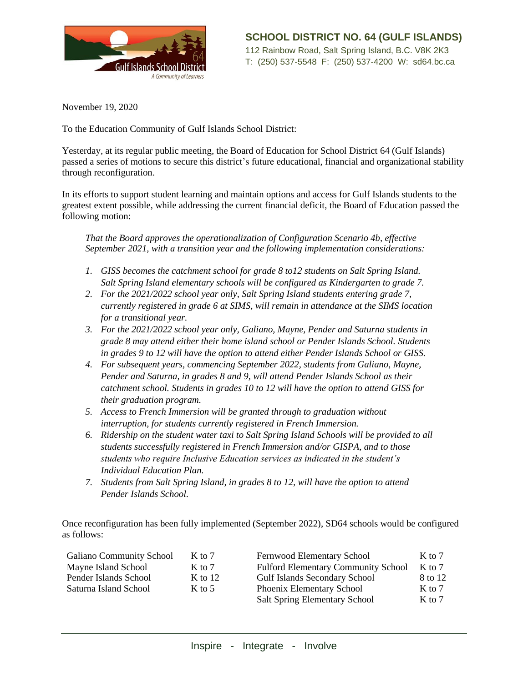

November 19, 2020

To the Education Community of Gulf Islands School District:

Yesterday, at its regular public meeting, the Board of Education for School District 64 (Gulf Islands) passed a series of motions to secure this district's future educational, financial and organizational stability through reconfiguration.

In its efforts to support student learning and maintain options and access for Gulf Islands students to the greatest extent possible, while addressing the current financial deficit, the Board of Education passed the following motion:

*That the Board approves the operationalization of Configuration Scenario 4b, effective September 2021, with a transition year and the following implementation considerations:*

- *1. GISS becomes the catchment school for grade 8 to12 students on Salt Spring Island. Salt Spring Island elementary schools will be configured as Kindergarten to grade 7.*
- *2. For the 2021/2022 school year only, Salt Spring Island students entering grade 7, currently registered in grade 6 at SIMS, will remain in attendance at the SIMS location for a transitional year.*
- *3. For the 2021/2022 school year only, Galiano, Mayne, Pender and Saturna students in grade 8 may attend either their home island school or Pender Islands School. Students in grades 9 to 12 will have the option to attend either Pender Islands School or GISS.*
- *4. For subsequent years, commencing September 2022, students from Galiano, Mayne, Pender and Saturna, in grades 8 and 9, will attend Pender Islands School as their catchment school. Students in grades 10 to 12 will have the option to attend GISS for their graduation program.*
- *5. Access to French Immersion will be granted through to graduation without interruption, for students currently registered in French Immersion.*
- *6. Ridership on the student water taxi to Salt Spring Island Schools will be provided to all students successfully registered in French Immersion and/or GISPA, and to those students who require Inclusive Education services as indicated in the student's Individual Education Plan.*
- *7. Students from Salt Spring Island, in grades 8 to 12, will have the option to attend Pender Islands School.*

Once reconfiguration has been fully implemented (September 2022), SD64 schools would be configured as follows:

| <b>Galiano Community School</b> | $K$ to 7  | <b>Fernwood Elementary School</b>          | $K$ to 7 |
|---------------------------------|-----------|--------------------------------------------|----------|
| Mayne Island School             | $K$ to 7  | <b>Fulford Elementary Community School</b> | $K$ to 7 |
| Pender Islands School           | K to $12$ | <b>Gulf Islands Secondary School</b>       | 8 to 12  |
| Saturna Island School           | $K$ to 5  | Phoenix Elementary School                  | $K$ to 7 |
|                                 |           | <b>Salt Spring Elementary School</b>       | $K$ to 7 |